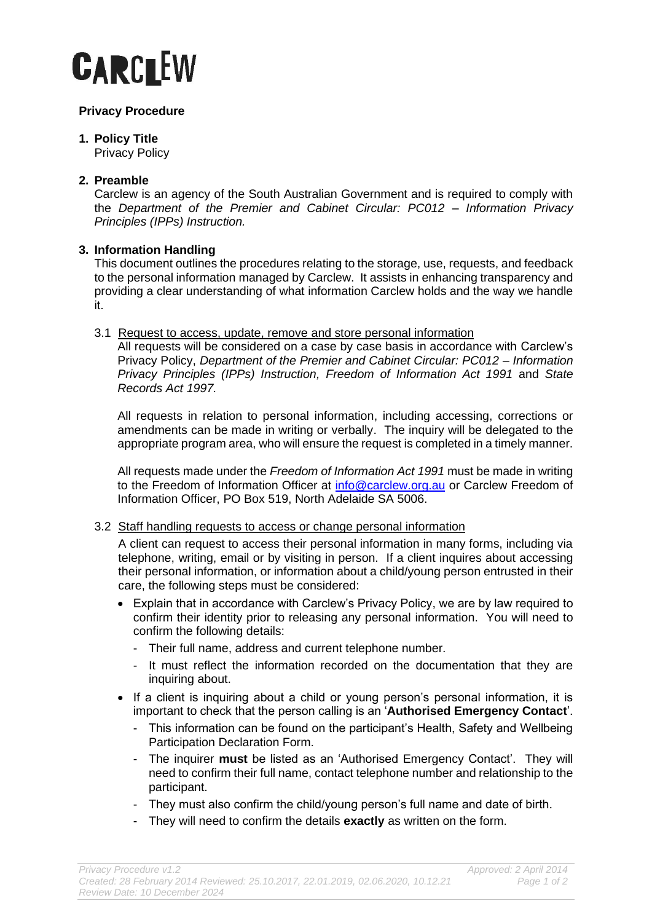# **CARCLEW**

## **Privacy Procedure**

# **1. Policy Title**

Privacy Policy

# **2. Preamble**

Carclew is an agency of the South Australian Government and is required to comply with the *Department of the Premier and Cabinet Circular: PC012 – Information Privacy Principles (IPPs) Instruction.* 

## **3. Information Handling**

This document outlines the procedures relating to the storage, use, requests, and feedback to the personal information managed by Carclew. It assists in enhancing transparency and providing a clear understanding of what information Carclew holds and the way we handle it.

## 3.1 Request to access, update, remove and store personal information

All requests will be considered on a case by case basis in accordance with Carclew's Privacy Policy, *Department of the Premier and Cabinet Circular: PC012 – Information Privacy Principles (IPPs) Instruction, Freedom of Information Act 1991* and *State Records Act 1997.*

All requests in relation to personal information, including accessing, corrections or amendments can be made in writing or verbally. The inquiry will be delegated to the appropriate program area, who will ensure the request is completed in a timely manner.

All requests made under the *Freedom of Information Act 1991* must be made in writing to the Freedom of Information Officer at [info@carclew.org.au](mailto:info@carclew.org.au) or Carclew Freedom of Information Officer, PO Box 519, North Adelaide SA 5006.

## 3.2 Staff handling requests to access or change personal information

A client can request to access their personal information in many forms, including via telephone, writing, email or by visiting in person. If a client inquires about accessing their personal information, or information about a child/young person entrusted in their care, the following steps must be considered:

- Explain that in accordance with Carclew's Privacy Policy, we are by law required to confirm their identity prior to releasing any personal information. You will need to confirm the following details:
	- Their full name, address and current telephone number.
	- It must reflect the information recorded on the documentation that they are inquiring about.
- If a client is inquiring about a child or young person's personal information, it is important to check that the person calling is an '**Authorised Emergency Contact**'.
	- This information can be found on the participant's Health, Safety and Wellbeing Participation Declaration Form.
	- The inquirer **must** be listed as an 'Authorised Emergency Contact'. They will need to confirm their full name, contact telephone number and relationship to the participant.
	- They must also confirm the child/young person's full name and date of birth.
	- They will need to confirm the details **exactly** as written on the form.